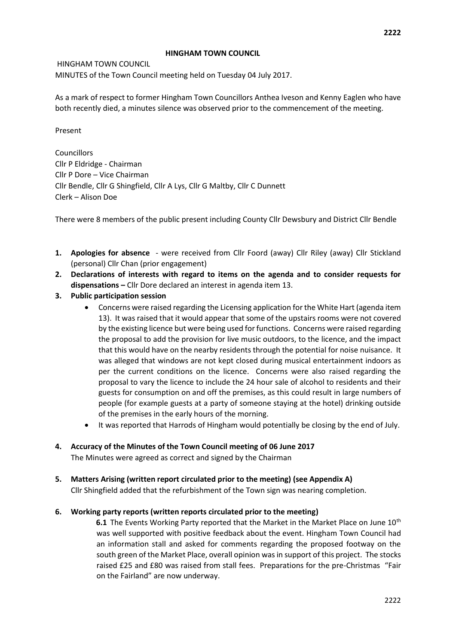#### **HINGHAM TOWN COUNCIL**

HINGHAM TOWN COUNCIL MINUTES of the Town Council meeting held on Tuesday 04 July 2017.

As a mark of respect to former Hingham Town Councillors Anthea Iveson and Kenny Eaglen who have both recently died, a minutes silence was observed prior to the commencement of the meeting.

Present

**Councillors** Cllr P Eldridge - Chairman Cllr P Dore – Vice Chairman Cllr Bendle, Cllr G Shingfield, Cllr A Lys, Cllr G Maltby, Cllr C Dunnett Clerk – Alison Doe

There were 8 members of the public present including County Cllr Dewsbury and District Cllr Bendle

- **1. Apologies for absence**  were received from Cllr Foord (away) Cllr Riley (away) Cllr Stickland (personal) Cllr Chan (prior engagement)
- **2. Declarations of interests with regard to items on the agenda and to consider requests for dispensations –** Cllr Dore declared an interest in agenda item 13.
- **3. Public participation session** 
	- Concerns were raised regarding the Licensing application for the White Hart (agenda item 13). It was raised that it would appear that some of the upstairs rooms were not covered by the existing licence but were being used for functions. Concerns were raised regarding the proposal to add the provision for live music outdoors, to the licence, and the impact that this would have on the nearby residents through the potential for noise nuisance. It was alleged that windows are not kept closed during musical entertainment indoors as per the current conditions on the licence. Concerns were also raised regarding the proposal to vary the licence to include the 24 hour sale of alcohol to residents and their guests for consumption on and off the premises, as this could result in large numbers of people (for example guests at a party of someone staying at the hotel) drinking outside of the premises in the early hours of the morning.
	- It was reported that Harrods of Hingham would potentially be closing by the end of July.
- **4. Accuracy of the Minutes of the Town Council meeting of 06 June 2017**

The Minutes were agreed as correct and signed by the Chairman

**5. Matters Arising (written report circulated prior to the meeting) (see Appendix A)**

Cllr Shingfield added that the refurbishment of the Town sign was nearing completion.

**6. Working party reports (written reports circulated prior to the meeting)** 

**6.1** The Events Working Party reported that the Market in the Market Place on June 10<sup>th</sup> was well supported with positive feedback about the event. Hingham Town Council had an information stall and asked for comments regarding the proposed footway on the south green of the Market Place, overall opinion was in support of this project. The stocks raised £25 and £80 was raised from stall fees. Preparations for the pre-Christmas "Fair on the Fairland" are now underway.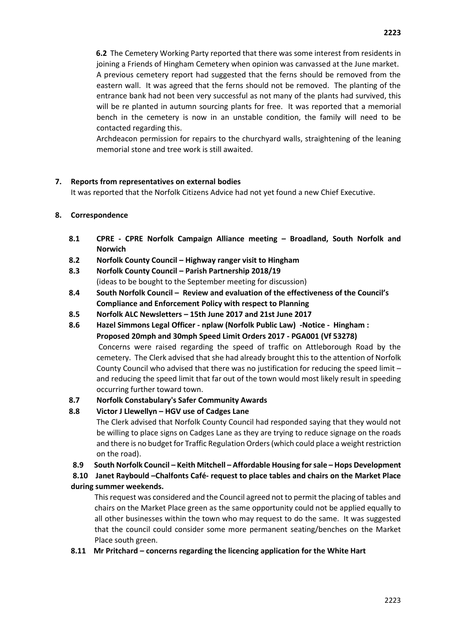**6.2** The Cemetery Working Party reported that there was some interest from residents in joining a Friends of Hingham Cemetery when opinion was canvassed at the June market. A previous cemetery report had suggested that the ferns should be removed from the eastern wall. It was agreed that the ferns should not be removed. The planting of the entrance bank had not been very successful as not many of the plants had survived, this will be re planted in autumn sourcing plants for free. It was reported that a memorial bench in the cemetery is now in an unstable condition, the family will need to be contacted regarding this.

Archdeacon permission for repairs to the churchyard walls, straightening of the leaning memorial stone and tree work is still awaited.

### **7. Reports from representatives on external bodies**

It was reported that the Norfolk Citizens Advice had not yet found a new Chief Executive.

### **8. Correspondence**

- **8.1 CPRE - CPRE Norfolk Campaign Alliance meeting – Broadland, South Norfolk and Norwich**
- **8.2 Norfolk County Council – Highway ranger visit to Hingham**
- **8.3 Norfolk County Council – Parish Partnership 2018/19**  (ideas to be bought to the September meeting for discussion)
- **8.4 South Norfolk Council – Review and evaluation of the effectiveness of the Council's Compliance and Enforcement Policy with respect to Planning**
- **8.5 Norfolk ALC Newsletters – 15th June 2017 and 21st June 2017**
- **8.6 Hazel Simmons Legal Officer - nplaw (Norfolk Public Law) -Notice Hingham : Proposed 20mph and 30mph Speed Limit Orders 2017 - PGA001 (Vf 53278)**  Concerns were raised regarding the speed of traffic on Attleborough Road by the cemetery. The Clerk advised that she had already brought this to the attention of Norfolk County Council who advised that there was no justification for reducing the speed limit – and reducing the speed limit that far out of the town would most likely result in speeding occurring further toward town.

#### **8.7 Norfolk Constabulary's Safer Community Awards**

# **8.8 Victor J Llewellyn – HGV use of Cadges Lane**

The Clerk advised that Norfolk County Council had responded saying that they would not be willing to place signs on Cadges Lane as they are trying to reduce signage on the roads and there is no budget for Traffic Regulation Orders (which could place a weight restriction on the road).

**8.9 South Norfolk Council – Keith Mitchell – Affordable Housing for sale – Hops Development**

**8.10 Janet Raybould –Chalfonts Café- request to place tables and chairs on the Market Place during summer weekends.**

This request was considered and the Council agreed not to permit the placing of tables and chairs on the Market Place green as the same opportunity could not be applied equally to all other businesses within the town who may request to do the same. It was suggested that the council could consider some more permanent seating/benches on the Market Place south green.

#### **8.11 Mr Pritchard – concerns regarding the licencing application for the White Hart**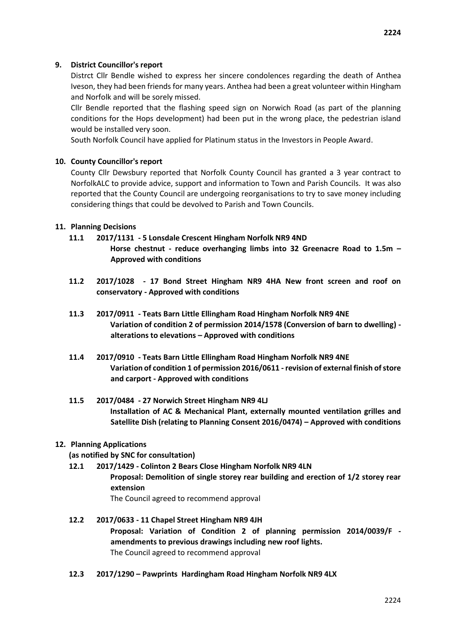Distrct Cllr Bendle wished to express her sincere condolences regarding the death of Anthea Iveson, they had been friends for many years. Anthea had been a great volunteer within Hingham and Norfolk and will be sorely missed.

Cllr Bendle reported that the flashing speed sign on Norwich Road (as part of the planning conditions for the Hops development) had been put in the wrong place, the pedestrian island would be installed very soon.

South Norfolk Council have applied for Platinum status in the Investors in People Award.

# **10. County Councillor's report**

County Cllr Dewsbury reported that Norfolk County Council has granted a 3 year contract to NorfolkALC to provide advice, support and information to Town and Parish Councils. It was also reported that the County Council are undergoing reorganisations to try to save money including considering things that could be devolved to Parish and Town Councils.

# **11. Planning Decisions**

- **11.1 2017/1131 - 5 Lonsdale Crescent Hingham Norfolk NR9 4ND Horse chestnut - reduce overhanging limbs into 32 Greenacre Road to 1.5m – Approved with conditions**
- **11.2 2017/1028 - 17 Bond Street Hingham NR9 4HA New front screen and roof on conservatory - Approved with conditions**
- **11.3 2017/0911 - Teats Barn Little Ellingham Road Hingham Norfolk NR9 4NE Variation of condition 2 of permission 2014/1578 (Conversion of barn to dwelling) alterations to elevations – Approved with conditions**
- **11.4 2017/0910 - Teats Barn Little Ellingham Road Hingham Norfolk NR9 4NE Variation of condition 1 of permission 2016/0611 -revision of external finish of store and carport - Approved with conditions**
- **11.5 2017/0484 - 27 Norwich Street Hingham NR9 4LJ Installation of AC & Mechanical Plant, externally mounted ventilation grilles and Satellite Dish (relating to Planning Consent 2016/0474) – Approved with conditions**

# **12. Planning Applications**

**(as notified by SNC for consultation)** 

- **12.1 2017/1429 - Colinton 2 Bears Close Hingham Norfolk NR9 4LN Proposal: Demolition of single storey rear building and erection of 1/2 storey rear extension**  The Council agreed to recommend approval
- **12.2 2017/0633 - 11 Chapel Street Hingham NR9 4JH Proposal: Variation of Condition 2 of planning permission 2014/0039/F amendments to previous drawings including new roof lights.**  The Council agreed to recommend approval
- **12.3 2017/1290 – Pawprints Hardingham Road Hingham Norfolk NR9 4LX**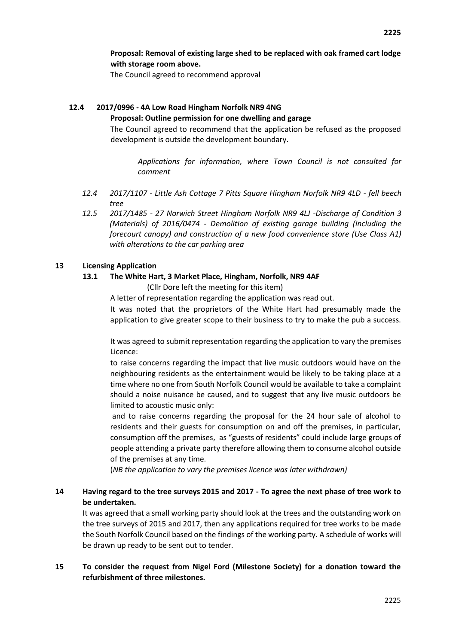**Proposal: Removal of existing large shed to be replaced with oak framed cart lodge with storage room above.** 

The Council agreed to recommend approval

# **12.4 2017/0996 - 4A Low Road Hingham Norfolk NR9 4NG**

#### **Proposal: Outline permission for one dwelling and garage**

The Council agreed to recommend that the application be refused as the proposed development is outside the development boundary.

*Applications for information, where Town Council is not consulted for comment* 

- *12.4 2017/1107 - Little Ash Cottage 7 Pitts Square Hingham Norfolk NR9 4LD - fell beech tree*
- *12.5 2017/1485 - 27 Norwich Street Hingham Norfolk NR9 4LJ -Discharge of Condition 3 (Materials) of 2016/0474 - Demolition of existing garage building (including the forecourt canopy) and construction of a new food convenience store (Use Class A1) with alterations to the car parking area*

#### **13 Licensing Application**

### **13.1 The White Hart, 3 Market Place, Hingham, Norfolk, NR9 4AF**

(Cllr Dore left the meeting for this item)

A letter of representation regarding the application was read out.

It was noted that the proprietors of the White Hart had presumably made the application to give greater scope to their business to try to make the pub a success.

It was agreed to submit representation regarding the application to vary the premises Licence:

to raise concerns regarding the impact that live music outdoors would have on the neighbouring residents as the entertainment would be likely to be taking place at a time where no one from South Norfolk Council would be available to take a complaint should a noise nuisance be caused, and to suggest that any live music outdoors be limited to acoustic music only:

and to raise concerns regarding the proposal for the 24 hour sale of alcohol to residents and their guests for consumption on and off the premises, in particular, consumption off the premises, as "guests of residents" could include large groups of people attending a private party therefore allowing them to consume alcohol outside of the premises at any time.

(*NB the application to vary the premises licence was later withdrawn)*

# **14 Having regard to the tree surveys 2015 and 2017 - To agree the next phase of tree work to be undertaken.**

It was agreed that a small working party should look at the trees and the outstanding work on the tree surveys of 2015 and 2017, then any applications required for tree works to be made the South Norfolk Council based on the findings of the working party. A schedule of works will be drawn up ready to be sent out to tender.

# **15 To consider the request from Nigel Ford (Milestone Society) for a donation toward the refurbishment of three milestones.**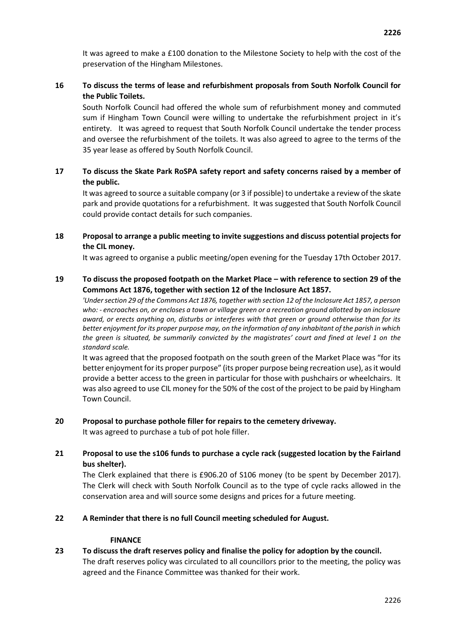It was agreed to make a £100 donation to the Milestone Society to help with the cost of the preservation of the Hingham Milestones.

# **16 To discuss the terms of lease and refurbishment proposals from South Norfolk Council for the Public Toilets.**

South Norfolk Council had offered the whole sum of refurbishment money and commuted sum if Hingham Town Council were willing to undertake the refurbishment project in it's entirety. It was agreed to request that South Norfolk Council undertake the tender process and oversee the refurbishment of the toilets. It was also agreed to agree to the terms of the 35 year lease as offered by South Norfolk Council.

### **17 To discuss the Skate Park RoSPA safety report and safety concerns raised by a member of the public.**

It was agreed to source a suitable company (or 3 if possible) to undertake a review of the skate park and provide quotations for a refurbishment. It was suggested that South Norfolk Council could provide contact details for such companies.

### **18 Proposal to arrange a public meeting to invite suggestions and discuss potential projects for the CIL money.**

It was agreed to organise a public meeting/open evening for the Tuesday 17th October 2017.

### **19 To discuss the proposed footpath on the Market Place – with reference to section 29 of the Commons Act 1876, together with section 12 of the Inclosure Act 1857.**

*'Under section 29 of the Commons Act 1876, together with section 12 of the Inclosure Act 1857, a person who: - encroaches on, or encloses a town or village green or a recreation ground allotted by an inclosure award, or erects anything on, disturbs or interferes with that green or ground otherwise than for its better enjoyment for its proper purpose may, on the information of any inhabitant of the parish in which the green is situated, be summarily convicted by the magistrates' court and fined at level 1 on the standard scale.* 

It was agreed that the proposed footpath on the south green of the Market Place was "for its better enjoyment for its proper purpose" (its proper purpose being recreation use), as it would provide a better access to the green in particular for those with pushchairs or wheelchairs. It was also agreed to use CIL money for the 50% of the cost of the project to be paid by Hingham Town Council.

# **20 Proposal to purchase pothole filler for repairs to the cemetery driveway.**

It was agreed to purchase a tub of pot hole filler.

# **21 Proposal to use the s106 funds to purchase a cycle rack (suggested location by the Fairland bus shelter).**

The Clerk explained that there is £906.20 of S106 money (to be spent by December 2017). The Clerk will check with South Norfolk Council as to the type of cycle racks allowed in the conservation area and will source some designs and prices for a future meeting.

# **22 A Reminder that there is no full Council meeting scheduled for August.**

### **FINANCE**

# **23 To discuss the draft reserves policy and finalise the policy for adoption by the council.**  The draft reserves policy was circulated to all councillors prior to the meeting, the policy was agreed and the Finance Committee was thanked for their work.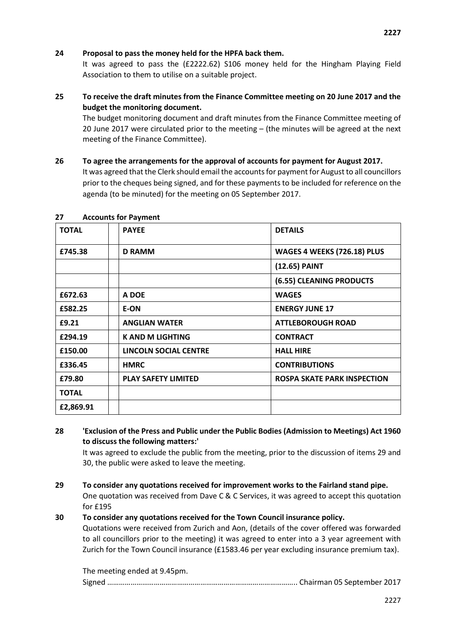#### **24 Proposal to pass the money held for the HPFA back them.**

It was agreed to pass the (£2222.62) S106 money held for the Hingham Playing Field Association to them to utilise on a suitable project.

# **25 To receive the draft minutes from the Finance Committee meeting on 20 June 2017 and the budget the monitoring document.**

The budget monitoring document and draft minutes from the Finance Committee meeting of 20 June 2017 were circulated prior to the meeting – (the minutes will be agreed at the next meeting of the Finance Committee).

**26 To agree the arrangements for the approval of accounts for payment for August 2017.**  It was agreed that the Clerk should email the accounts for payment for August to all councillors prior to the cheques being signed, and for these payments to be included for reference on the agenda (to be minuted) for the meeting on 05 September 2017.

| <b>TOTAL</b> | <b>PAYEE</b>                 | <b>DETAILS</b>                     |
|--------------|------------------------------|------------------------------------|
| £745.38      | <b>D RAMM</b>                | WAGES 4 WEEKS (726.18) PLUS        |
|              |                              | (12.65) PAINT                      |
|              |                              | (6.55) CLEANING PRODUCTS           |
| £672.63      | A DOE                        | <b>WAGES</b>                       |
| £582.25      | E-ON                         | <b>ENERGY JUNE 17</b>              |
| £9.21        | <b>ANGLIAN WATER</b>         | <b>ATTLEBOROUGH ROAD</b>           |
| £294.19      | <b>K AND M LIGHTING</b>      | <b>CONTRACT</b>                    |
| £150.00      | <b>LINCOLN SOCIAL CENTRE</b> | <b>HALL HIRE</b>                   |
| £336.45      | <b>HMRC</b>                  | <b>CONTRIBUTIONS</b>               |
| £79.80       | <b>PLAY SAFETY LIMITED</b>   | <b>ROSPA SKATE PARK INSPECTION</b> |
| <b>TOTAL</b> |                              |                                    |
| £2,869.91    |                              |                                    |

#### **27 Accounts for Payment**

**28 'Exclusion of the Press and Public under the Public Bodies (Admission to Meetings) Act 1960 to discuss the following matters:'** 

It was agreed to exclude the public from the meeting, prior to the discussion of items 29 and 30, the public were asked to leave the meeting.

**29 To consider any quotations received for improvement works to the Fairland stand pipe.**  One quotation was received from Dave C & C Services, it was agreed to accept this quotation for £195

#### **30 To consider any quotations received for the Town Council insurance policy.**

Quotations were received from Zurich and Aon, (details of the cover offered was forwarded to all councillors prior to the meeting) it was agreed to enter into a 3 year agreement with Zurich for the Town Council insurance (£1583.46 per year excluding insurance premium tax).

| The meeting ended at 9.45pm. |  |
|------------------------------|--|
|                              |  |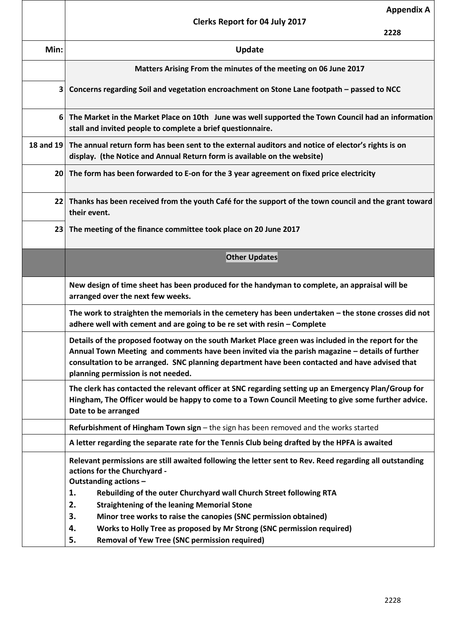|                 | <b>Appendix A</b><br><b>Clerks Report for 04 July 2017</b>                                                                                                                                                                                                                                                                                    |
|-----------------|-----------------------------------------------------------------------------------------------------------------------------------------------------------------------------------------------------------------------------------------------------------------------------------------------------------------------------------------------|
|                 | 2228                                                                                                                                                                                                                                                                                                                                          |
| Min:            | <b>Update</b>                                                                                                                                                                                                                                                                                                                                 |
|                 | Matters Arising From the minutes of the meeting on 06 June 2017                                                                                                                                                                                                                                                                               |
| 3               | Concerns regarding Soil and vegetation encroachment on Stone Lane footpath - passed to NCC                                                                                                                                                                                                                                                    |
| 6               | The Market in the Market Place on 10th June was well supported the Town Council had an information<br>stall and invited people to complete a brief questionnaire.                                                                                                                                                                             |
| 18 and 19       | The annual return form has been sent to the external auditors and notice of elector's rights is on<br>display. (the Notice and Annual Return form is available on the website)                                                                                                                                                                |
| 20 <sub>1</sub> | The form has been forwarded to E-on for the 3 year agreement on fixed price electricity                                                                                                                                                                                                                                                       |
| 22              | Thanks has been received from the youth Café for the support of the town council and the grant toward<br>their event.                                                                                                                                                                                                                         |
| 23              | The meeting of the finance committee took place on 20 June 2017                                                                                                                                                                                                                                                                               |
|                 | <b>Other Updates</b>                                                                                                                                                                                                                                                                                                                          |
|                 | New design of time sheet has been produced for the handyman to complete, an appraisal will be<br>arranged over the next few weeks.                                                                                                                                                                                                            |
|                 | The work to straighten the memorials in the cemetery has been undertaken - the stone crosses did not<br>adhere well with cement and are going to be re set with resin - Complete                                                                                                                                                              |
|                 | Details of the proposed footway on the south Market Place green was included in the report for the<br>Annual Town Meeting and comments have been invited via the parish magazine - details of further<br>consultation to be arranged. SNC planning department have been contacted and have advised that<br>planning permission is not needed. |
|                 | The clerk has contacted the relevant officer at SNC regarding setting up an Emergency Plan/Group for<br>Hingham, The Officer would be happy to come to a Town Council Meeting to give some further advice.<br>Date to be arranged                                                                                                             |
|                 | Refurbishment of Hingham Town sign - the sign has been removed and the works started                                                                                                                                                                                                                                                          |
|                 | A letter regarding the separate rate for the Tennis Club being drafted by the HPFA is awaited                                                                                                                                                                                                                                                 |
|                 | Relevant permissions are still awaited following the letter sent to Rev. Reed regarding all outstanding<br>actions for the Churchyard -<br>Outstanding actions -                                                                                                                                                                              |
|                 | 1.<br>Rebuilding of the outer Churchyard wall Church Street following RTA                                                                                                                                                                                                                                                                     |
|                 | 2.<br><b>Straightening of the leaning Memorial Stone</b><br>3.<br>Minor tree works to raise the canopies (SNC permission obtained)                                                                                                                                                                                                            |
|                 | Works to Holly Tree as proposed by Mr Strong (SNC permission required)<br>4.                                                                                                                                                                                                                                                                  |
|                 | <b>Removal of Yew Tree (SNC permission required)</b><br>5.                                                                                                                                                                                                                                                                                    |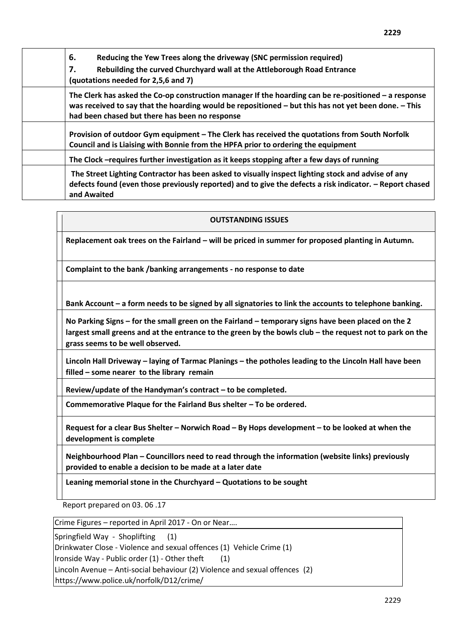| 6.<br>Reducing the Yew Trees along the driveway (SNC permission required)<br>Rebuilding the curved Churchyard wall at the Attleborough Road Entrance<br>7.<br>(quotations needed for 2,5,6 and 7)                                                                |
|------------------------------------------------------------------------------------------------------------------------------------------------------------------------------------------------------------------------------------------------------------------|
| The Clerk has asked the Co-op construction manager If the hoarding can be re-positioned $-$ a response<br>was received to say that the hoarding would be repositioned – but this has not yet been done. – This<br>had been chased but there has been no response |
| Provision of outdoor Gym equipment – The Clerk has received the quotations from South Norfolk<br>Council and is Liaising with Bonnie from the HPFA prior to ordering the equipment                                                                               |
| The Clock -requires further investigation as it keeps stopping after a few days of running                                                                                                                                                                       |
| The Street Lighting Contractor has been asked to visually inspect lighting stock and advise of any<br>defects found (even those previously reported) and to give the defects a risk indicator. - Report chased<br>and Awaited                                    |

### **OUTSTANDING ISSUES**

**Replacement oak trees on the Fairland – will be priced in summer for proposed planting in Autumn.** 

**Complaint to the bank /banking arrangements - no response to date** 

**Bank Account – a form needs to be signed by all signatories to link the accounts to telephone banking.** 

**No Parking Signs – for the small green on the Fairland – temporary signs have been placed on the 2 largest small greens and at the entrance to the green by the bowls club – the request not to park on the grass seems to be well observed.** 

**Lincoln Hall Driveway – laying of Tarmac Planings – the potholes leading to the Lincoln Hall have been filled – some nearer to the library remain** 

**Review/update of the Handyman's contract – to be completed.** 

**Commemorative Plaque for the Fairland Bus shelter – To be ordered.** 

**Request for a clear Bus Shelter – Norwich Road – By Hops development – to be looked at when the development is complete** 

**Neighbourhood Plan – Councillors need to read through the information (website links) previously provided to enable a decision to be made at a later date** 

**Leaning memorial stone in the Churchyard – Quotations to be sought** 

Report prepared on 03. 06 .17

Crime Figures – reported in April 2017 - On or Near….

Springfield Way - Shoplifting (1)

Drinkwater Close - Violence and sexual offences (1) Vehicle Crime (1)

Ironside Way - Public order  $(1)$  - Other theft  $(1)$ 

Lincoln Avenue – Anti-social behaviour (2) Violence and sexual offences (2)

https://www.police.uk/norfolk/D12/crime/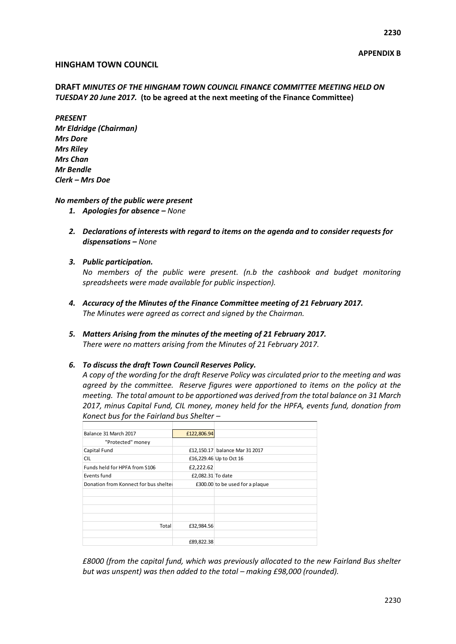#### **HINGHAM TOWN COUNCIL**

### **DRAFT** *MINUTES OF THE HINGHAM TOWN COUNCIL FINANCE COMMITTEE MEETING HELD ON TUESDAY 20 June 2017.* **(to be agreed at the next meeting of the Finance Committee)**

*PRESENT Mr Eldridge (Chairman) Mrs Dore Mrs Riley Mrs Chan Mr Bendle Clerk – Mrs Doe*

#### *No members of the public were present*

- *1. Apologies for absence – None*
- *2. Declarations of interests with regard to items on the agenda and to consider requests for dispensations – None*
- *3. Public participation.*

*No members of the public were present. (n.b the cashbook and budget monitoring spreadsheets were made available for public inspection).*

- *4. Accuracy of the Minutes of the Finance Committee meeting of 21 February 2017. The Minutes were agreed as correct and signed by the Chairman.*
- *5. Matters Arising from the minutes of the meeting of 21 February 2017. There were no matters arising from the Minutes of 21 February 2017.*

#### *6. To discuss the draft Town Council Reserves Policy.*

*A copy of the wording for the draft Reserve Policy was circulated prior to the meeting and was agreed by the committee. Reserve figures were apportioned to items on the policy at the meeting. The total amount to be apportioned was derived from the total balance on 31 March 2017, minus Capital Fund, CIL money, money held for the HPFA, events fund, donation from Konect bus for the Fairland bus Shelter –*

| Balance 31 March 2017                | £122,806.94       |                                 |
|--------------------------------------|-------------------|---------------------------------|
| "Protected" money                    |                   |                                 |
| Capital Fund                         |                   | £12,150.17 balance Mar 31 2017  |
| <b>CIL</b>                           |                   | £16,229.46 Up to Oct 16         |
| Funds held for HPFA from S106        | £2,222.62         |                                 |
| Events fund                          | £2,082.31 To date |                                 |
| Donation from Konnect for bus shelte |                   | £300.00 to be used for a plaque |
|                                      |                   |                                 |
|                                      |                   |                                 |
|                                      |                   |                                 |
|                                      |                   |                                 |
| Total                                | £32,984.56        |                                 |
|                                      |                   |                                 |
|                                      | £89,822.38        |                                 |

*£8000 (from the capital fund, which was previously allocated to the new Fairland Bus shelter but was unspent) was then added to the total – making £98,000 (rounded).*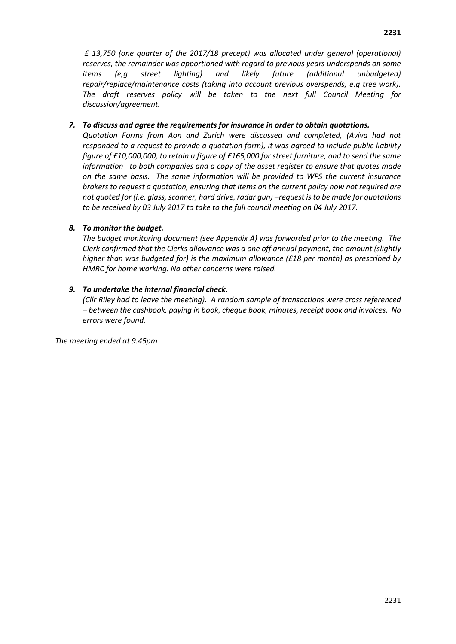*£ 13,750 (one quarter of the 2017/18 precept) was allocated under general (operational) reserves, the remainder was apportioned with regard to previous years underspends on some items (e,g street lighting) and likely future (additional unbudgeted) repair/replace/maintenance costs (taking into account previous overspends, e.g tree work). The draft reserves policy will be taken to the next full Council Meeting for discussion/agreement.*

# *7. To discuss and agree the requirements for insurance in order to obtain quotations.*

*Quotation Forms from Aon and Zurich were discussed and completed, (Aviva had not responded to a request to provide a quotation form), it was agreed to include public liability figure of £10,000,000, to retain a figure of £165,000 for street furniture, and to send the same information to both companies and a copy of the asset register to ensure that quotes made on the same basis. The same information will be provided to WPS the current insurance brokers to request a quotation, ensuring that items on the current policy now not required are not quoted for (i.e. glass, scanner, hard drive, radar gun) –request is to be made for quotations to be received by 03 July 2017 to take to the full council meeting on 04 July 2017.*

# *8. To monitor the budget.*

*The budget monitoring document (see Appendix A) was forwarded prior to the meeting. The Clerk confirmed that the Clerks allowance was a one off annual payment, the amount (slightly higher than was budgeted for) is the maximum allowance (£18 per month) as prescribed by HMRC for home working. No other concerns were raised.*

# *9. To undertake the internal financial check.*

*(Cllr Riley had to leave the meeting). A random sample of transactions were cross referenced – between the cashbook, paying in book, cheque book, minutes, receipt book and invoices. No errors were found.*

*The meeting ended at 9.45pm*